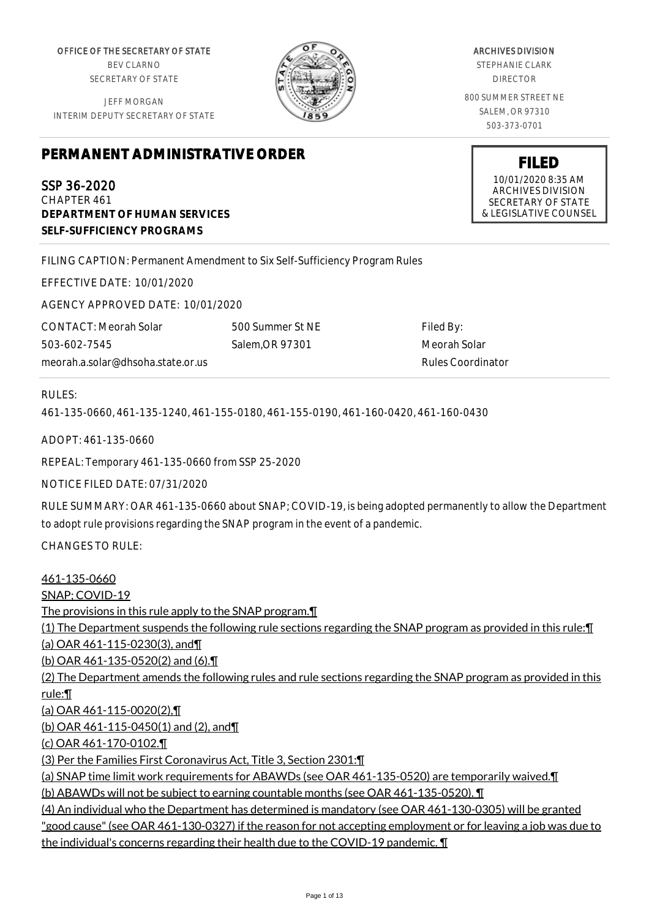OFFICE OF THE SECRETARY OF STATE BEV CLARNO SECRETARY OF STATE

JEFF MORGAN INTERIM DEPUTY SECRETARY OF STATE



ARCHIVES DIVISION

STEPHANIE CLARK DIRECTOR

800 SUMMER STREET NE SALEM, OR 97310 503-373-0701

**PERMANENT ADMINISTRATIVE ORDER**

# SSP 36-2020

CHAPTER 461 **DEPARTMENT OF HUMAN SERVICES SELF-SUFFICIENCY PROGRAMS**

FILING CAPTION: Permanent Amendment to Six Self-Sufficiency Program Rules

EFFECTIVE DATE: 10/01/2020

AGENCY APPROVED DATE: 10/01/2020

CONTACT: Meorah Solar 503-602-7545 meorah.a.solar@dhsoha.state.or.us

500 Summer St NE Salem,OR 97301

Filed By: Meorah Solar Rules Coordinator

# RULES:

461-135-0660, 461-135-1240, 461-155-0180, 461-155-0190, 461-160-0420, 461-160-0430

ADOPT: 461-135-0660

REPEAL: Temporary 461-135-0660 from SSP 25-2020

NOTICE FILED DATE: 07/31/2020

RULE SUMMARY: OAR 461-135-0660 about SNAP; COVID-19, is being adopted permanently to allow the Department to adopt rule provisions regarding the SNAP program in the event of a pandemic.

CHANGES TO RULE:

461-135-0660 SNAP; COVID-19 The provisions in this rule apply to the SNAP program.¶ (1) The Department suspends the following rule sections regarding the SNAP program as provided in this rule:¶ (a) OAR 461-115-0230(3), and¶ (b) OAR 461-135-0520(2) and (6).¶ (2) The Department amends the following rules and rule sections regarding the SNAP program as provided in this rule:¶ (a) OAR 461-115-0020(2),¶ (b) OAR 461-115-0450(1) and (2), and¶ (c) OAR 461-170-0102.¶ (3) Per the Families First Coronavirus Act, Title 3, Section 2301:¶ (a) SNAP time limit work requirements for ABAWDs (see OAR 461-135-0520) are temporarily waived.¶ (b) ABAWDs will not be subject to earning countable months (see OAR 461-135-0520). ¶ (4) An individual who the Department has determined is mandatory (see OAR 461-130-0305) will be granted "good cause" (see OAR 461-130-0327) if the reason for not accepting employment or for leaving a job was due to the individual's concerns regarding their health due to the COVID-19 pandemic. ¶



**FILED** 10/01/2020 8:35 AM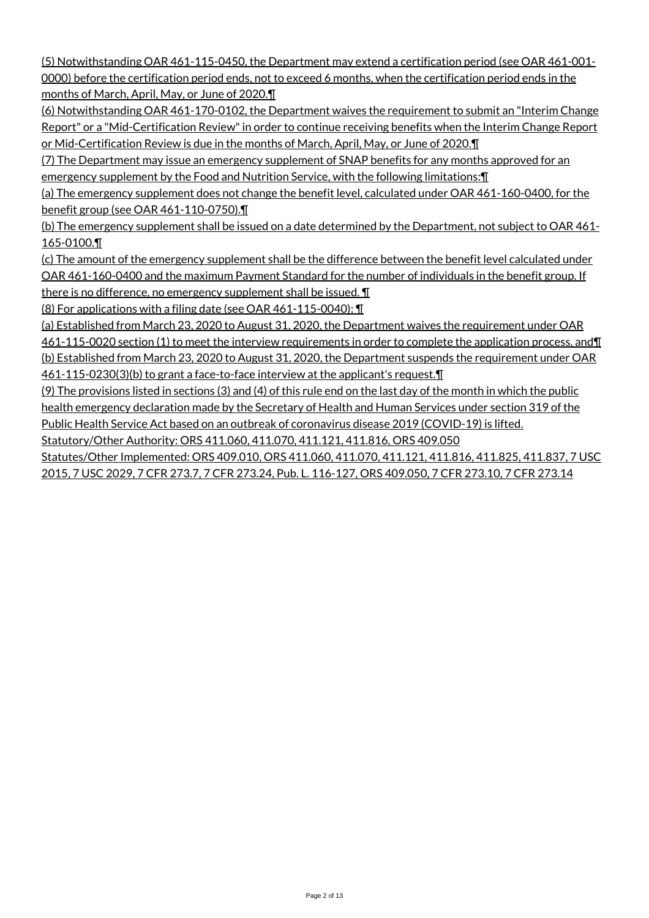(5) Notwithstanding OAR 461-115-0450, the Department may extend a certification period (see OAR 461-001- 0000) before the certification period ends, not to exceed 6 months, when the certification period ends in the months of March, April, May, or June of 2020.¶

(6) Notwithstanding OAR 461-170-0102, the Department waives the requirement to submit an "Interim Change Report" or a "Mid-Certification Review" in order to continue receiving benefits when the Interim Change Report or Mid-Certification Review is due in the months of March, April, May, or June of 2020.¶

(7) The Department may issue an emergency supplement of SNAP benefits for any months approved for an emergency supplement by the Food and Nutrition Service, with the following limitations:¶

(a) The emergency supplement does not change the benefit level, calculated under OAR 461-160-0400, for the benefit group (see OAR 461-110-0750).¶

(b) The emergency supplement shall be issued on a date determined by the Department, not subject to OAR 461-165-0100.¶

(c) The amount of the emergency supplement shall be the difference between the benefit level calculated under OAR 461-160-0400 and the maximum Payment Standard for the number of individuals in the benefit group. If there is no difference, no emergency supplement shall be issued. ¶

(8) For applications with a filing date (see OAR 461-115-0040): ¶

(a) Established from March 23, 2020 to August 31, 2020, the Department waives the requirement under OAR 461-115-0020 section (1) to meet the interview requirements in order to complete the application process, and¶ (b) Established from March 23, 2020 to August 31, 2020, the Department suspends the requirement under OAR 461-115-0230(3)(b) to grant a face-to-face interview at the applicant's request.¶

(9) The provisions listed in sections (3) and (4) of this rule end on the last day of the month in which the public health emergency declaration made by the Secretary of Health and Human Services under section 319 of the Public Health Service Act based on an outbreak of coronavirus disease 2019 (COVID-19) is lifted. Statutory/Other Authority: ORS 411.060, 411.070, 411.121, 411.816, ORS 409.050

Statutes/Other Implemented: ORS 409.010, ORS 411.060, 411.070, 411.121, 411.816, 411.825, 411.837, 7 USC 2015, 7 USC 2029, 7 CFR 273.7, 7 CFR 273.24, Pub. L. 116-127, ORS 409.050, 7 CFR 273.10, 7 CFR 273.14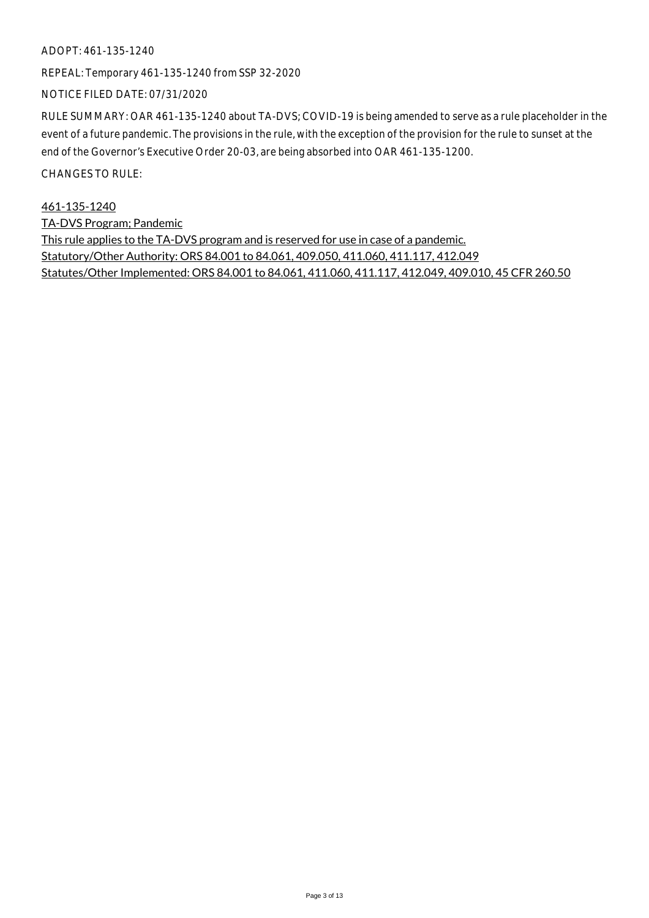#### ADOPT: 461-135-1240

REPEAL: Temporary 461-135-1240 from SSP 32-2020

NOTICE FILED DATE: 07/31/2020

RULE SUMMARY: OAR 461-135-1240 about TA-DVS; COVID-19 is being amended to serve as a rule placeholder in the event of a future pandemic. The provisions in the rule, with the exception of the provision for the rule to sunset at the end of the Governor's Executive Order 20-03, are being absorbed into OAR 461-135-1200.

CHANGES TO RULE:

461-135-1240 TA-DVS Program; Pandemic This rule applies to the TA-DVS program and is reserved for use in case of a pandemic. Statutory/Other Authority: ORS 84.001 to 84.061, 409.050, 411.060, 411.117, 412.049 Statutes/Other Implemented: ORS 84.001 to 84.061, 411.060, 411.117, 412.049, 409.010, 45 CFR 260.50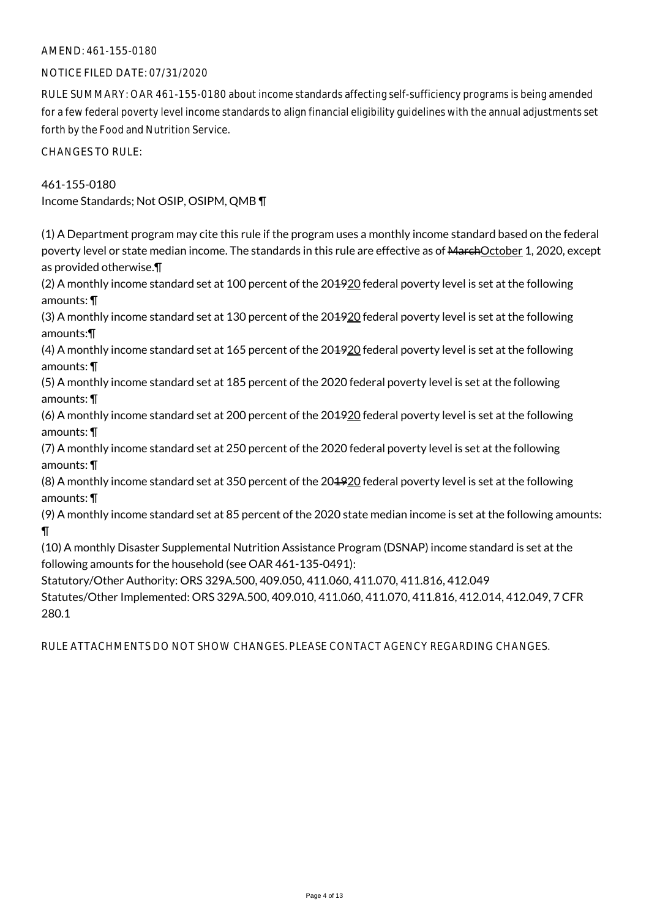# AMEND: 461-155-0180

#### NOTICE FILED DATE: 07/31/2020

RULE SUMMARY: OAR 461-155-0180 about income standards affecting self-sufficiency programs is being amended for a few federal poverty level income standards to align financial eligibility guidelines with the annual adjustments set forth by the Food and Nutrition Service.

CHANGES TO RULE:

# 461-155-0180

Income Standards; Not OSIP, OSIPM, QMB ¶

(1) A Department program may cite this rule if the program uses a monthly income standard based on the federal poverty level or state median income. The standards in this rule are effective as of MarchOctober 1, 2020, except as provided otherwise.¶

(2) A monthly income standard set at 100 percent of the 201920 federal poverty level is set at the following amounts: ¶

(3) A monthly income standard set at 130 percent of the 201920 federal poverty level is set at the following amounts:¶

(4) A monthly income standard set at 165 percent of the 204920 federal poverty level is set at the following amounts: ¶

(5) A monthly income standard set at 185 percent of the 2020 federal poverty level is set at the following amounts: ¶

(6) A monthly income standard set at 200 percent of the 201920 federal poverty level is set at the following amounts: ¶

(7) A monthly income standard set at 250 percent of the 2020 federal poverty level is set at the following amounts: ¶

(8) A monthly income standard set at 350 percent of the 201920 federal poverty level is set at the following amounts: ¶

(9) A monthly income standard set at 85 percent of the 2020 state median income is set at the following amounts: ¶

(10) A monthly Disaster Supplemental Nutrition Assistance Program (DSNAP) income standard is set at the following amounts for the household (see OAR 461-135-0491):

Statutory/Other Authority: ORS 329A.500, 409.050, 411.060, 411.070, 411.816, 412.049 Statutes/Other Implemented: ORS 329A.500, 409.010, 411.060, 411.070, 411.816, 412.014, 412.049, 7 CFR 280.1

RULE ATTACHMENTS DO NOT SHOW CHANGES. PLEASE CONTACT AGENCY REGARDING CHANGES.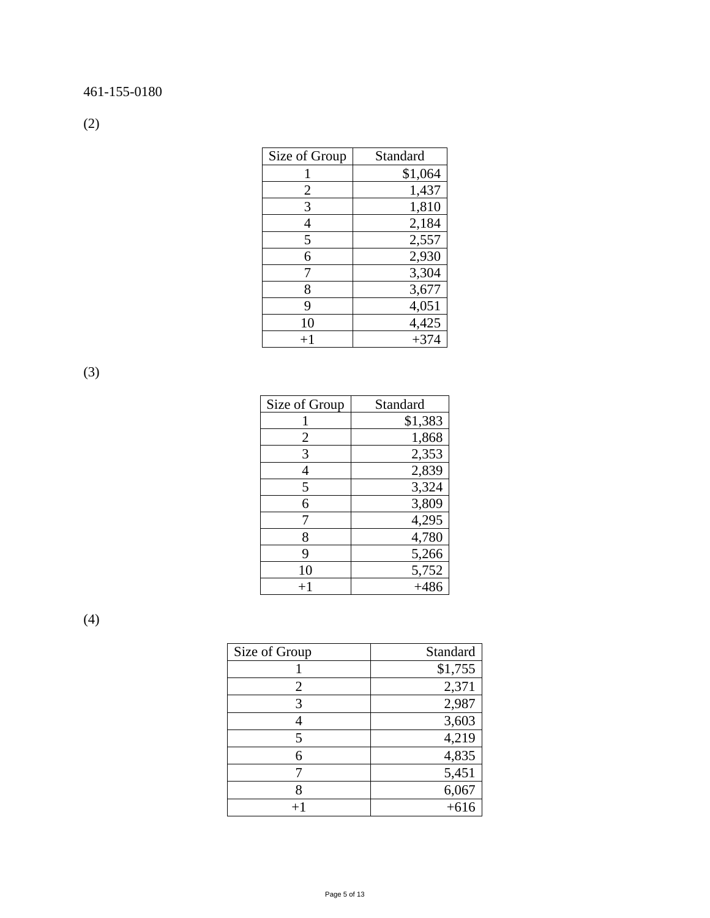(2)

| Size of Group | Standard |
|---------------|----------|
|               | \$1,064  |
| 2             | 1,437    |
| 3             | 1,810    |
| 4             | 2,184    |
| 5             | 2,557    |
| 6             | 2,930    |
|               | 3,304    |
| 8             | 3,677    |
| 9             | 4,051    |
| 10            | 4,425    |
| $+1$          | $+374$   |

(3)

| Size of Group | Standard |
|---------------|----------|
|               | \$1,383  |
| 2             | 1,868    |
| 3             | 2,353    |
| 4             | 2,839    |
| 5             | 3,324    |
| 6             | 3,809    |
| 7             | 4,295    |
| 8             | 4,780    |
| 9             | 5,266    |
| 10            | 5,752    |
| $+1$          | $+486$   |

(4)

| Size of Group | Standard |
|---------------|----------|
|               | \$1,755  |
| 2             | 2,371    |
| 3             | 2,987    |
|               | 3,603    |
| 5             | 4,219    |
|               | 4,835    |
|               | 5,451    |
|               | 6,067    |
|               |          |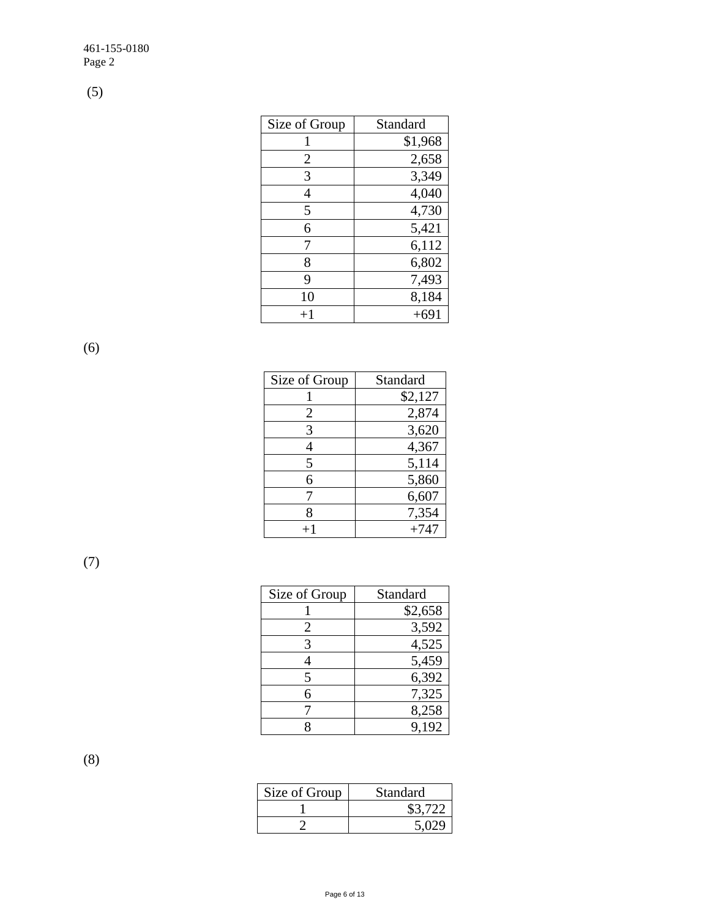(5)

| Size of Group | Standard |
|---------------|----------|
|               | \$1,968  |
| 2             | 2,658    |
| 3             | 3,349    |
| 4             | 4,040    |
| 5             | 4,730    |
| 6             | 5,421    |
| 7             | 6,112    |
| 8             | 6,802    |
| 9             | 7,493    |
| 10            | 8,184    |
| $+1$          | $+691$   |

(6)

| Size of Group | Standard |
|---------------|----------|
|               | \$2,127  |
| 2             | 2,874    |
| 3             | 3,620    |
|               | 4,367    |
| 5             | 5,114    |
| 6             | 5,860    |
| 7             | 6,607    |
| 8             | 7,354    |
| $+1$          | $+747$   |

(7)

| Size of Group | Standard |
|---------------|----------|
|               | \$2,658  |
| 2             | 3,592    |
| 3             | 4,525    |
|               | 5,459    |
| 5             | 6,392    |
|               | 7,325    |
|               | 8,258    |
|               | 9,192    |

(8)

| Size of Group | Standard |
|---------------|----------|
|               | \$3.722  |
|               |          |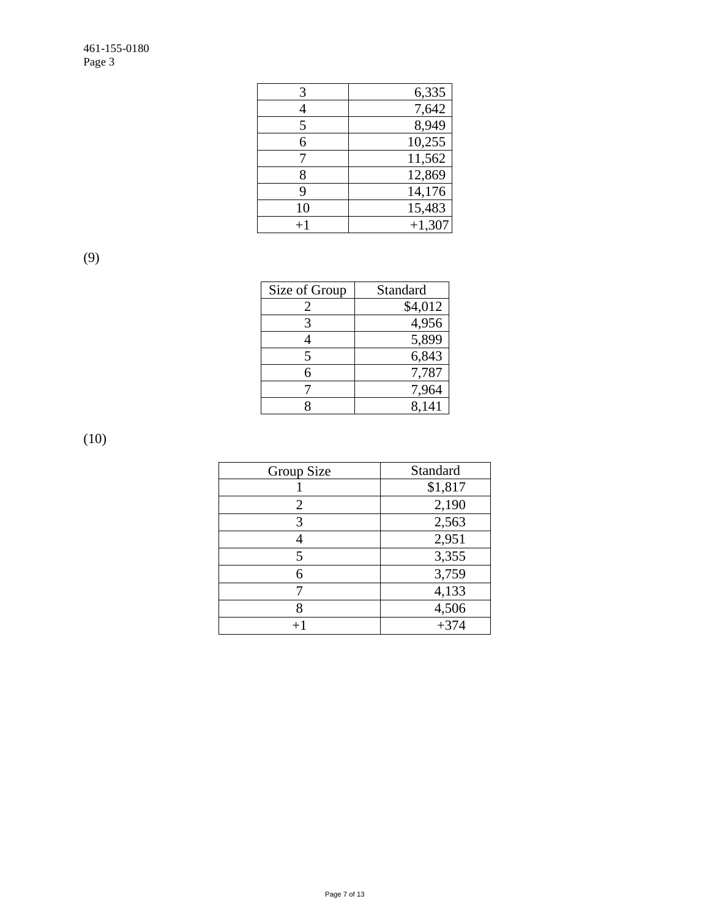| 3       | 6,335    |
|---------|----------|
|         | 7,642    |
| 5       | 8,949    |
| 6       | 10,255   |
|         | 11,562   |
| 8       | 12,869   |
| 9       | 14,176   |
| 10      | 15,483   |
| $^{+1}$ | $+1,307$ |

(9)

| Size of Group | Standard |
|---------------|----------|
|               | \$4,012  |
| 3             | 4,956    |
|               | 5,899    |
| 5             | 6,843    |
| 6             | 7,787    |
|               | 7,964    |
|               | 8.141    |

(10)

| Group Size     | Standard |
|----------------|----------|
|                | \$1,817  |
| $\overline{2}$ | 2,190    |
| 3              | 2,563    |
| 4              | 2,951    |
| 5              | 3,355    |
| 6              | 3,759    |
|                | 4,133    |
| 8              | 4,506    |
|                | $+374$   |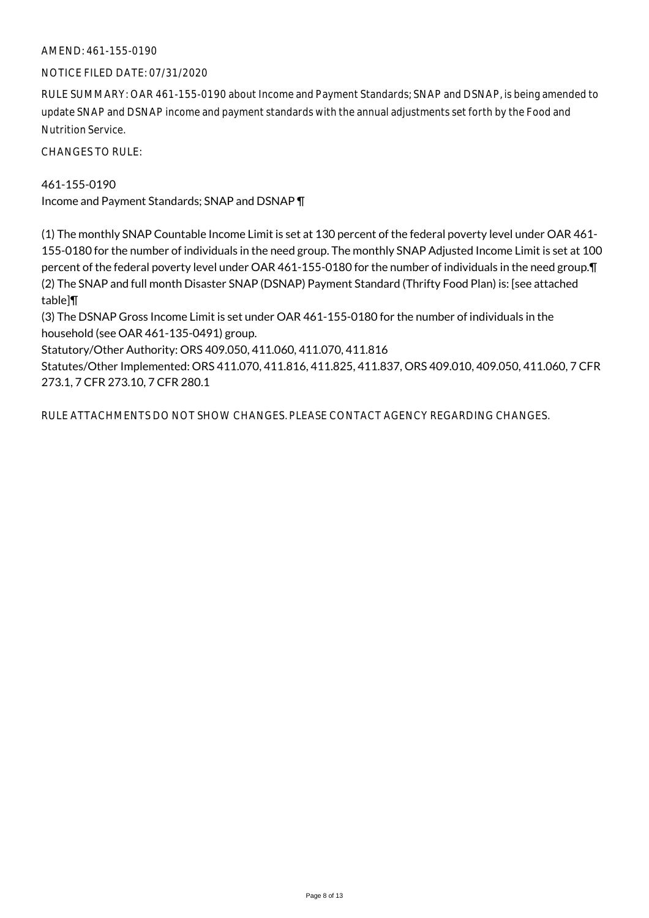# AMEND: 461-155-0190

#### NOTICE FILED DATE: 07/31/2020

RULE SUMMARY: OAR 461-155-0190 about Income and Payment Standards; SNAP and DSNAP, is being amended to update SNAP and DSNAP income and payment standards with the annual adjustments set forth by the Food and Nutrition Service.

CHANGES TO RULE:

461-155-0190 Income and Payment Standards; SNAP and DSNAP ¶

(1) The monthly SNAP Countable Income Limit is set at 130 percent of the federal poverty level under OAR 461- 155-0180 for the number of individuals in the need group. The monthly SNAP Adjusted Income Limit is set at 100 percent of the federal poverty level under OAR 461-155-0180 for the number of individuals in the need group.¶ (2) The SNAP and full month Disaster SNAP (DSNAP) Payment Standard (Thrifty Food Plan) is: [see attached table]¶

(3) The DSNAP Gross Income Limit is set under OAR 461-155-0180 for the number of individuals in the household (see OAR 461-135-0491) group.

Statutory/Other Authority: ORS 409.050, 411.060, 411.070, 411.816

Statutes/Other Implemented: ORS 411.070, 411.816, 411.825, 411.837, ORS 409.010, 409.050, 411.060, 7 CFR 273.1, 7 CFR 273.10, 7 CFR 280.1

RULE ATTACHMENTS DO NOT SHOW CHANGES. PLEASE CONTACT AGENCY REGARDING CHANGES.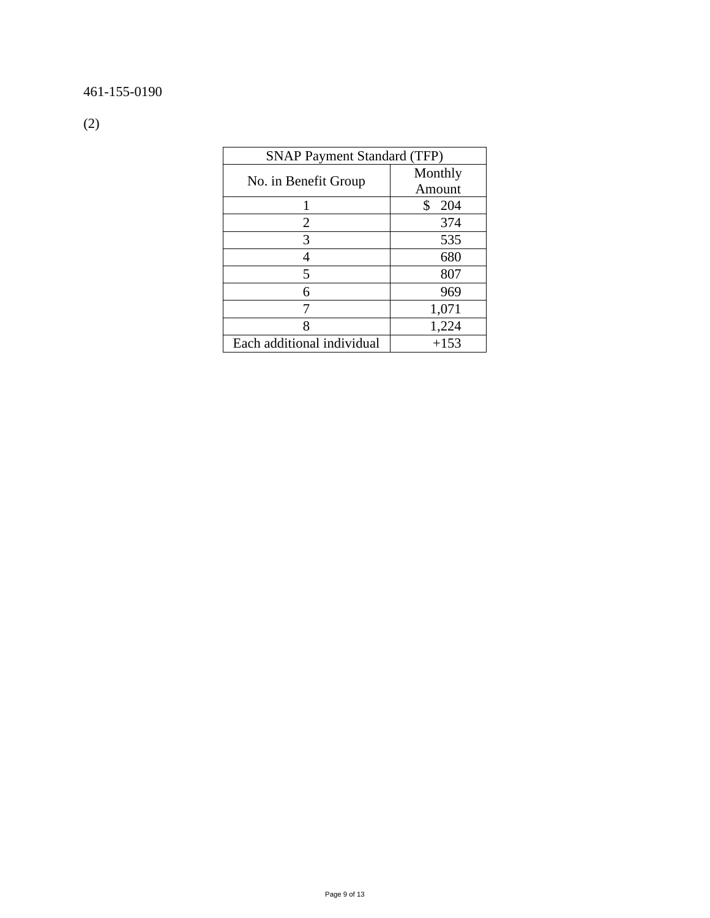# 461-155-0190

(2)

| <b>SNAP Payment Standard (TFP)</b> |           |
|------------------------------------|-----------|
| No. in Benefit Group               | Monthly   |
|                                    | Amount    |
|                                    | \$<br>204 |
| $\overline{2}$                     | 374       |
| 3                                  | 535       |
| 4                                  | 680       |
| 5                                  | 807       |
| 6                                  | 969       |
| 7                                  | 1,071     |
| 8                                  | 1,224     |
| Each additional individual         | $+153$    |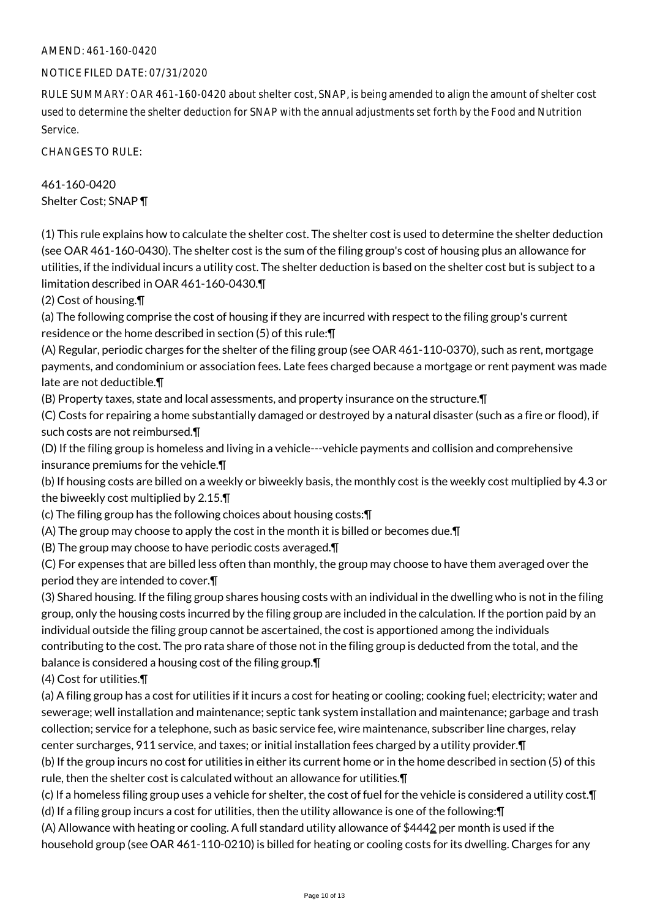# AMEND: 461-160-0420

#### NOTICE FILED DATE: 07/31/2020

RULE SUMMARY: OAR 461-160-0420 about shelter cost, SNAP, is being amended to align the amount of shelter cost used to determine the shelter deduction for SNAP with the annual adjustments set forth by the Food and Nutrition Service.

CHANGES TO RULE:

# 461-160-0420 Shelter Cost; SNAP ¶

(1) This rule explains how to calculate the shelter cost. The shelter cost is used to determine the shelter deduction (see OAR 461-160-0430). The shelter cost is the sum of the filing group's cost of housing plus an allowance for utilities, if the individual incurs a utility cost. The shelter deduction is based on the shelter cost but is subject to a limitation described in OAR 461-160-0430.¶

(2) Cost of housing.¶

(a) The following comprise the cost of housing if they are incurred with respect to the filing group's current residence or the home described in section (5) of this rule:¶

(A) Regular, periodic charges for the shelter of the filing group (see OAR 461-110-0370), such as rent, mortgage payments, and condominium or association fees. Late fees charged because a mortgage or rent payment was made late are not deductible.¶

(B) Property taxes, state and local assessments, and property insurance on the structure.¶

(C) Costs for repairing a home substantially damaged or destroyed by a natural disaster (such as a fire or flood), if such costs are not reimbursed.¶

(D) If the filing group is homeless and living in a vehicle---vehicle payments and collision and comprehensive insurance premiums for the vehicle.¶

(b) If housing costs are billed on a weekly or biweekly basis, the monthly cost is the weekly cost multiplied by 4.3 or the biweekly cost multiplied by 2.15.¶

(c) The filing group has the following choices about housing costs:¶

(A) The group may choose to apply the cost in the month it is billed or becomes due.¶

(B) The group may choose to have periodic costs averaged.¶

(C) For expenses that are billed less often than monthly, the group may choose to have them averaged over the period they are intended to cover.¶

(3) Shared housing. If the filing group shares housing costs with an individual in the dwelling who is not in the filing group, only the housing costs incurred by the filing group are included in the calculation. If the portion paid by an individual outside the filing group cannot be ascertained, the cost is apportioned among the individuals contributing to the cost. The pro rata share of those not in the filing group is deducted from the total, and the balance is considered a housing cost of the filing group.¶

(4) Cost for utilities.¶

(a) A filing group has a cost for utilities if it incurs a cost for heating or cooling; cooking fuel; electricity; water and sewerage; well installation and maintenance; septic tank system installation and maintenance; garbage and trash collection; service for a telephone, such as basic service fee, wire maintenance, subscriber line charges, relay center surcharges, 911 service, and taxes; or initial installation fees charged by a utility provider.¶

(b) If the group incurs no cost for utilities in either its current home or in the home described in section (5) of this rule, then the shelter cost is calculated without an allowance for utilities.¶

(c) If a homeless filing group uses a vehicle for shelter, the cost of fuel for the vehicle is considered a utility cost.¶

(d) If a filing group incurs a cost for utilities, then the utility allowance is one of the following:¶

(A) Allowance with heating or cooling. A full standard utility allowance of \$4442 per month is used if the household group (see OAR 461-110-0210) is billed for heating or cooling costs for its dwelling. Charges for any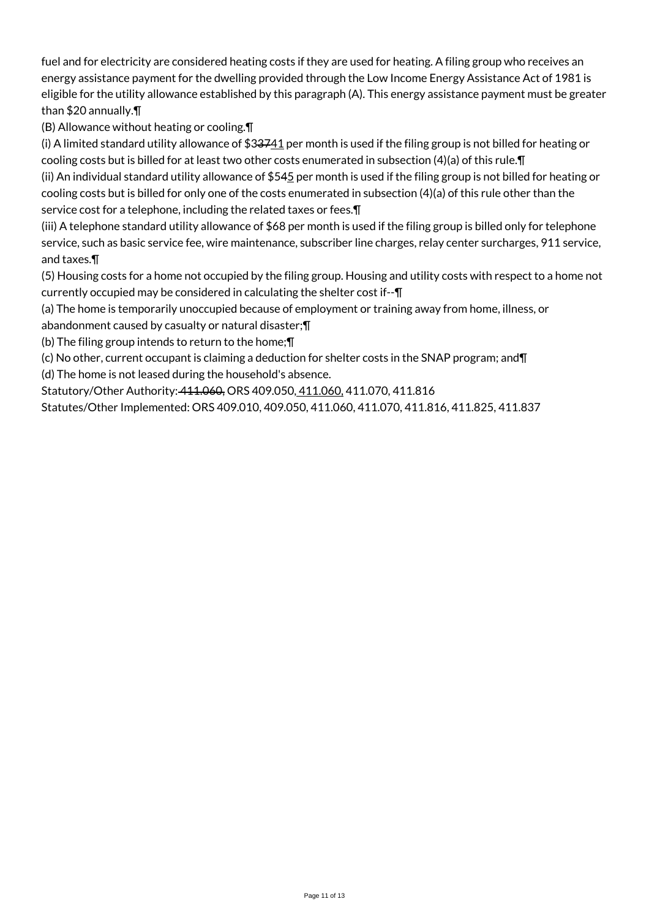fuel and for electricity are considered heating costs if they are used for heating. A filing group who receives an energy assistance payment for the dwelling provided through the Low Income Energy Assistance Act of 1981 is eligible for the utility allowance established by this paragraph (A). This energy assistance payment must be greater than \$20 annually.¶

(B) Allowance without heating or cooling.¶

(i) A limited standard utility allowance of  $$33741$  per month is used if the filing group is not billed for heating or cooling costs but is billed for at least two other costs enumerated in subsection (4)(a) of this rule.¶

(ii) An individual standard utility allowance of \$545 per month is used if the filing group is not billed for heating or cooling costs but is billed for only one of the costs enumerated in subsection (4)(a) of this rule other than the service cost for a telephone, including the related taxes or fees.¶

(iii) A telephone standard utility allowance of \$68 per month is used if the filing group is billed only for telephone service, such as basic service fee, wire maintenance, subscriber line charges, relay center surcharges, 911 service, and taxes.¶

(5) Housing costs for a home not occupied by the filing group. Housing and utility costs with respect to a home not currently occupied may be considered in calculating the shelter cost if--¶

(a) The home is temporarily unoccupied because of employment or training away from home, illness, or abandonment caused by casualty or natural disaster;¶

(b) The filing group intends to return to the home;¶

(c) No other, current occupant is claiming a deduction for shelter costs in the SNAP program; and¶

(d) The home is not leased during the household's absence.

Statutory/Other Authority: 411.060, ORS 409.050, 411.060, 411.070, 411.816

Statutes/Other Implemented: ORS 409.010, 409.050, 411.060, 411.070, 411.816, 411.825, 411.837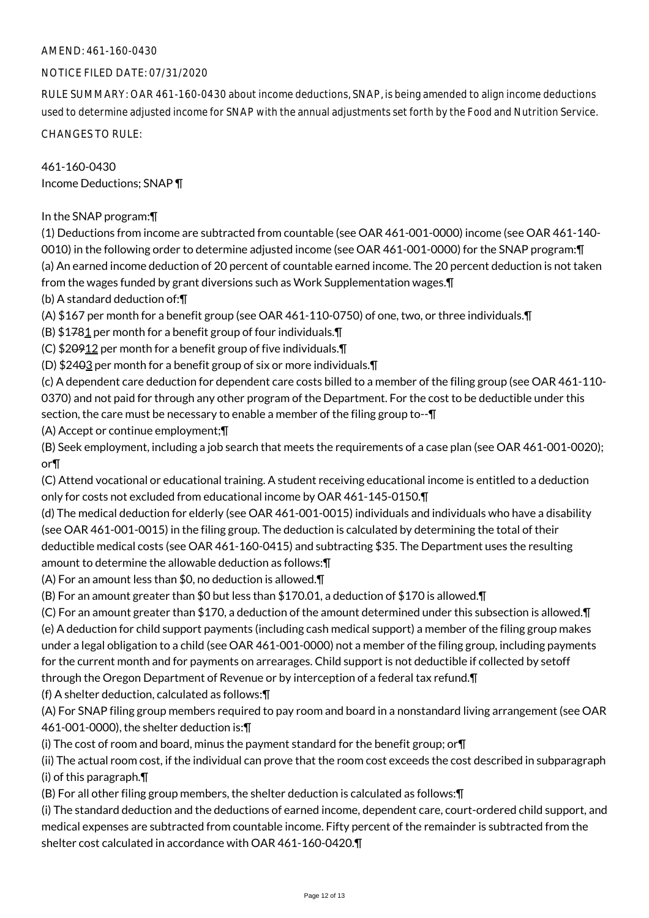# AMEND: 461-160-0430

# NOTICE FILED DATE: 07/31/2020

RULE SUMMARY: OAR 461-160-0430 about income deductions, SNAP, is being amended to align income deductions used to determine adjusted income for SNAP with the annual adjustments set forth by the Food and Nutrition Service.

CHANGES TO RULE:

461-160-0430 Income Deductions; SNAP ¶

In the SNAP program:¶

(1) Deductions from income are subtracted from countable (see OAR 461-001-0000) income (see OAR 461-140- 0010) in the following order to determine adjusted income (see OAR 461-001-0000) for the SNAP program:¶ (a) An earned income deduction of 20 percent of countable earned income. The 20 percent deduction is not taken from the wages funded by grant diversions such as Work Supplementation wages.¶

(b) A standard deduction of:¶

(A) \$167 per month for a benefit group (see OAR 461-110-0750) of one, two, or three individuals.¶

(B)  $$1781$  per month for a benefit group of four individuals. $\P$ 

(C) \$20912 per month for a benefit group of five individuals.¶

(D) \$2403 per month for a benefit group of six or more individuals.¶

(c) A dependent care deduction for dependent care costs billed to a member of the filing group (see OAR 461-110- 0370) and not paid for through any other program of the Department. For the cost to be deductible under this section, the care must be necessary to enable a member of the filing group to-- $\P$ 

(A) Accept or continue employment;¶

(B) Seek employment, including a job search that meets the requirements of a case plan (see OAR 461-001-0020); or¶

(C) Attend vocational or educational training. A student receiving educational income is entitled to a deduction only for costs not excluded from educational income by OAR 461-145-0150.¶

(d) The medical deduction for elderly (see OAR 461-001-0015) individuals and individuals who have a disability (see OAR 461-001-0015) in the filing group. The deduction is calculated by determining the total of their deductible medical costs (see OAR 461-160-0415) and subtracting \$35. The Department uses the resulting amount to determine the allowable deduction as follows:¶

(A) For an amount less than \$0, no deduction is allowed.¶

(B) For an amount greater than \$0 but less than \$170.01, a deduction of \$170 is allowed.¶

(C) For an amount greater than \$170, a deduction of the amount determined under this subsection is allowed.¶ (e) A deduction for child support payments (including cash medical support) a member of the filing group makes under a legal obligation to a child (see OAR 461-001-0000) not a member of the filing group, including payments for the current month and for payments on arrearages. Child support is not deductible if collected by setoff through the Oregon Department of Revenue or by interception of a federal tax refund.¶

(f) A shelter deduction, calculated as follows:¶

(A) For SNAP filing group members required to pay room and board in a nonstandard living arrangement (see OAR 461-001-0000), the shelter deduction is:¶

(i) The cost of room and board, minus the payment standard for the benefit group; or¶

(ii) The actual room cost, if the individual can prove that the room cost exceeds the cost described in subparagraph (i) of this paragraph.¶

(B) For all other filing group members, the shelter deduction is calculated as follows:¶

(i) The standard deduction and the deductions of earned income, dependent care, court-ordered child support, and medical expenses are subtracted from countable income. Fifty percent of the remainder is subtracted from the shelter cost calculated in accordance with OAR 461-160-0420.¶